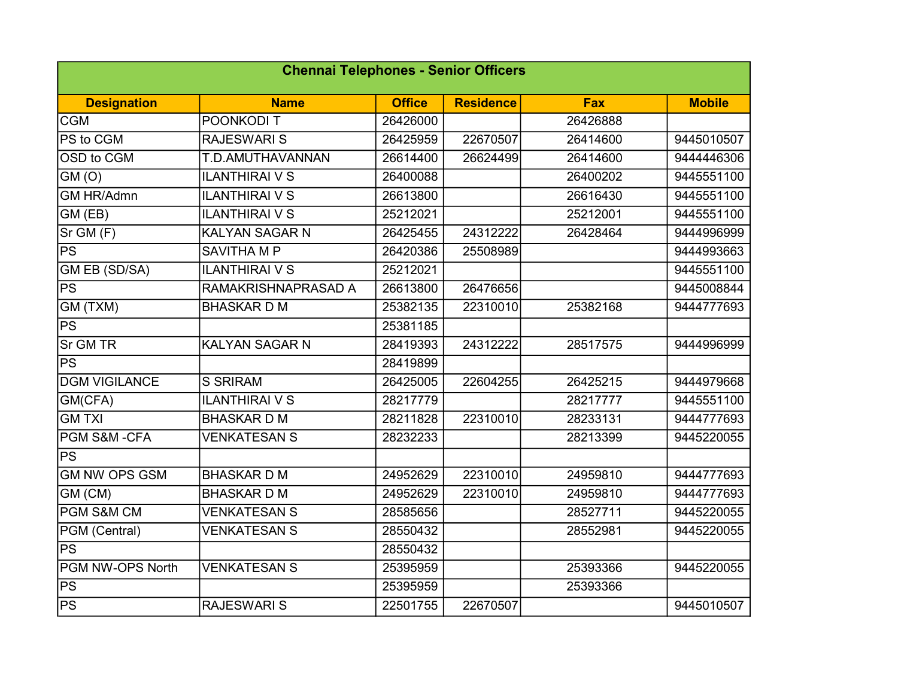| <b>Chennai Telephones - Senior Officers</b> |                       |               |                  |            |               |  |  |  |
|---------------------------------------------|-----------------------|---------------|------------------|------------|---------------|--|--|--|
| <b>Designation</b>                          | <b>Name</b>           | <b>Office</b> | <b>Residence</b> | <b>Fax</b> | <b>Mobile</b> |  |  |  |
| <b>CGM</b>                                  | POONKODI T            | 26426000      |                  | 26426888   |               |  |  |  |
| PS to CGM                                   | <b>RAJESWARI S</b>    | 26425959      | 22670507         | 26414600   | 9445010507    |  |  |  |
| OSD to CGM                                  | T.D.AMUTHAVANNAN      | 26614400      | 26624499         | 26414600   | 9444446306    |  |  |  |
| GM(0)                                       | <b>ILANTHIRAI V S</b> | 26400088      |                  | 26400202   | 9445551100    |  |  |  |
| <b>GM HR/Admn</b>                           | <b>ILANTHIRAI V S</b> | 26613800      |                  | 26616430   | 9445551100    |  |  |  |
| GM (EB)                                     | <b>ILANTHIRAI V S</b> | 25212021      |                  | 25212001   | 9445551100    |  |  |  |
| Sr GM (F)                                   | <b>KALYAN SAGAR N</b> | 26425455      | 24312222         | 26428464   | 9444996999    |  |  |  |
| PS                                          | <b>SAVITHA MP</b>     | 26420386      | 25508989         |            | 9444993663    |  |  |  |
| <b>GM EB (SD/SA)</b>                        | <b>ILANTHIRAI V S</b> | 25212021      |                  |            | 9445551100    |  |  |  |
| <b>PS</b>                                   | RAMAKRISHNAPRASAD A   | 26613800      | 26476656         |            | 9445008844    |  |  |  |
| GM (TXM)                                    | <b>BHASKARDM</b>      | 25382135      | 22310010         | 25382168   | 9444777693    |  |  |  |
| PS                                          |                       | 25381185      |                  |            |               |  |  |  |
| <b>Sr GM TR</b>                             | <b>KALYAN SAGAR N</b> | 28419393      | 24312222         | 28517575   | 9444996999    |  |  |  |
| $\overline{PS}$                             |                       | 28419899      |                  |            |               |  |  |  |
| <b>DGM VIGILANCE</b>                        | <b>S SRIRAM</b>       | 26425005      | 22604255         | 26425215   | 9444979668    |  |  |  |
| GM(CFA)                                     | <b>ILANTHIRAI V S</b> | 28217779      |                  | 28217777   | 9445551100    |  |  |  |
| <b>GMTXI</b>                                | <b>BHASKARDM</b>      | 28211828      | 22310010         | 28233131   | 9444777693    |  |  |  |
| PGM S&M -CFA                                | <b>VENKATESAN S</b>   | 28232233      |                  | 28213399   | 9445220055    |  |  |  |
| $\overline{\mathsf{PS}}$                    |                       |               |                  |            |               |  |  |  |
| <b>GM NW OPS GSM</b>                        | <b>BHASKARDM</b>      | 24952629      | 22310010         | 24959810   | 9444777693    |  |  |  |
| GM (CM)                                     | <b>BHASKARDM</b>      | 24952629      | 22310010         | 24959810   | 9444777693    |  |  |  |
| PGM S&M CM                                  | <b>VENKATESAN S</b>   | 28585656      |                  | 28527711   | 9445220055    |  |  |  |
| PGM (Central)                               | <b>VENKATESAN S</b>   | 28550432      |                  | 28552981   | 9445220055    |  |  |  |
| PS                                          |                       | 28550432      |                  |            |               |  |  |  |
| PGM NW-OPS North                            | <b>VENKATESAN S</b>   | 25395959      |                  | 25393366   | 9445220055    |  |  |  |
| PS                                          |                       | 25395959      |                  | 25393366   |               |  |  |  |
| PS                                          | <b>RAJESWARI S</b>    | 22501755      | 22670507         |            | 9445010507    |  |  |  |